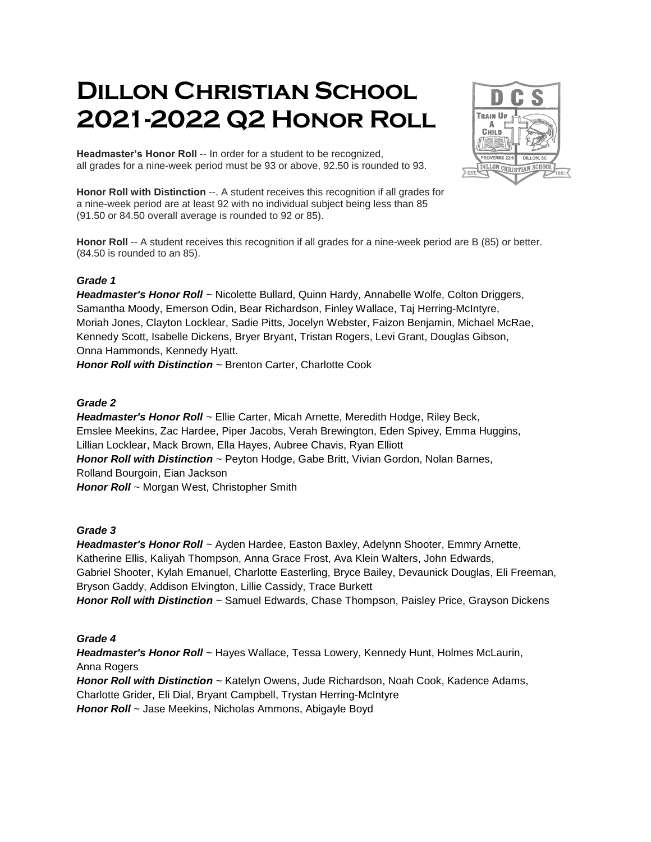# **Dillon Christian School 2021-2022 Q2 Honor Roll**



**Headmaster's Honor Roll** -- In order for a student to be recognized, all grades for a nine-week period must be 93 or above, 92.50 is rounded to 93.

**Honor Roll with Distinction** --. A student receives this recognition if all grades for a nine-week period are at least 92 with no individual subject being less than 85 (91.50 or 84.50 overall average is rounded to 92 or 85).

**Honor Roll** -- A student receives this recognition if all grades for a nine-week period are B (85) or better. (84.50 is rounded to an 85).

# *Grade 1*

*Headmaster's Honor Roll* ~ Nicolette Bullard, Quinn Hardy, Annabelle Wolfe, Colton Driggers, Samantha Moody, Emerson Odin, Bear Richardson, Finley Wallace, Taj Herring-McIntyre, Moriah Jones, Clayton Locklear, Sadie Pitts, Jocelyn Webster, Faizon Benjamin, Michael McRae, Kennedy Scott, Isabelle Dickens, Bryer Bryant, Tristan Rogers, Levi Grant, Douglas Gibson, Onna Hammonds, Kennedy Hyatt.

*Honor Roll with Distinction* ~ Brenton Carter, Charlotte Cook

# *Grade 2*

*Headmaster's Honor Roll* ~ Ellie Carter, Micah Arnette, Meredith Hodge, Riley Beck, Emslee Meekins, Zac Hardee, Piper Jacobs, Verah Brewington, Eden Spivey, Emma Huggins, Lillian Locklear, Mack Brown, Ella Hayes, Aubree Chavis, Ryan Elliott *Honor Roll with Distinction* ~ Peyton Hodge, Gabe Britt, Vivian Gordon, Nolan Barnes, Rolland Bourgoin, Eian Jackson *Honor Roll* ~ Morgan West, Christopher Smith

## *Grade 3*

*Headmaster's Honor Roll* ~ Ayden Hardee, Easton Baxley, Adelynn Shooter, Emmry Arnette, Katherine Ellis, Kaliyah Thompson, Anna Grace Frost, Ava Klein Walters, John Edwards, Gabriel Shooter, Kylah Emanuel, Charlotte Easterling, Bryce Bailey, Devaunick Douglas, Eli Freeman, Bryson Gaddy, Addison Elvington, Lillie Cassidy, Trace Burkett *Honor Roll with Distinction* ~ Samuel Edwards, Chase Thompson, Paisley Price, Grayson Dickens

# *Grade 4*

*Headmaster's Honor Roll* ~ Hayes Wallace, Tessa Lowery, Kennedy Hunt, Holmes McLaurin, Anna Rogers *Honor Roll with Distinction* ~ Katelyn Owens, Jude Richardson, Noah Cook, Kadence Adams, Charlotte Grider, Eli Dial, Bryant Campbell, Trystan Herring-McIntyre *Honor Roll* ~ Jase Meekins, Nicholas Ammons, Abigayle Boyd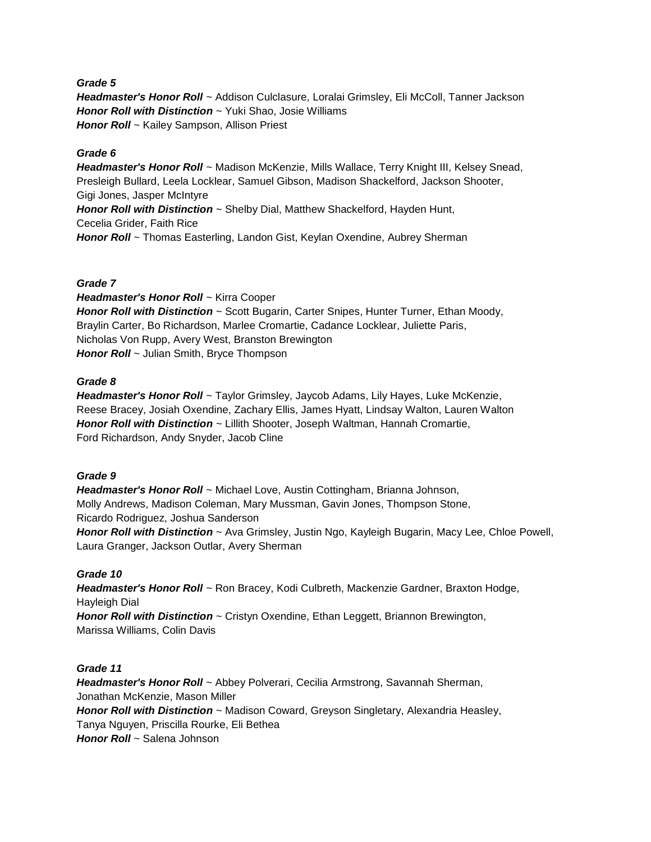## *Grade 5*

*Headmaster's Honor Roll* ~ Addison Culclasure, Loralai Grimsley, Eli McColl, Tanner Jackson *Honor Roll with Distinction* ~ Yuki Shao, Josie Williams *Honor Roll* ~ Kailey Sampson, Allison Priest

#### *Grade 6*

*Headmaster's Honor Roll* ~ Madison McKenzie, Mills Wallace, Terry Knight III, Kelsey Snead, Presleigh Bullard, Leela Locklear, Samuel Gibson, Madison Shackelford, Jackson Shooter, Gigi Jones, Jasper McIntyre *Honor Roll with Distinction* ~ Shelby Dial, Matthew Shackelford, Hayden Hunt, Cecelia Grider, Faith Rice *Honor Roll* ~ Thomas Easterling, Landon Gist, Keylan Oxendine, Aubrey Sherman

#### *Grade 7*

*Headmaster's Honor Roll* ~ Kirra Cooper **Honor Roll with Distinction** ~ Scott Bugarin, Carter Snipes, Hunter Turner, Ethan Moody, Braylin Carter, Bo Richardson, Marlee Cromartie, Cadance Locklear, Juliette Paris, Nicholas Von Rupp, Avery West, Branston Brewington *Honor Roll* ~ Julian Smith, Bryce Thompson

#### *Grade 8*

*Headmaster's Honor Roll* ~ Taylor Grimsley, Jaycob Adams, Lily Hayes, Luke McKenzie, Reese Bracey, Josiah Oxendine, Zachary Ellis, James Hyatt, Lindsay Walton, Lauren Walton *Honor Roll with Distinction* ~ Lillith Shooter, Joseph Waltman, Hannah Cromartie, Ford Richardson, Andy Snyder, Jacob Cline

## *Grade 9*

*Headmaster's Honor Roll* ~ Michael Love, Austin Cottingham, Brianna Johnson, Molly Andrews, Madison Coleman, Mary Mussman, Gavin Jones, Thompson Stone, Ricardo Rodriguez, Joshua Sanderson *Honor Roll with Distinction* ~ Ava Grimsley, Justin Ngo, Kayleigh Bugarin, Macy Lee, Chloe Powell,

Laura Granger, Jackson Outlar, Avery Sherman

## *Grade 10*

*Headmaster's Honor Roll* ~ Ron Bracey, Kodi Culbreth, Mackenzie Gardner, Braxton Hodge, Hayleigh Dial *Honor Roll with Distinction* ~ Cristyn Oxendine, Ethan Leggett, Briannon Brewington, Marissa Williams, Colin Davis

## *Grade 11*

*Headmaster's Honor Roll* ~ Abbey Polverari, Cecilia Armstrong, Savannah Sherman, Jonathan McKenzie, Mason Miller *Honor Roll with Distinction* ~ Madison Coward, Greyson Singletary, Alexandria Heasley, Tanya Nguyen, Priscilla Rourke, Eli Bethea *Honor Roll* ~ Salena Johnson